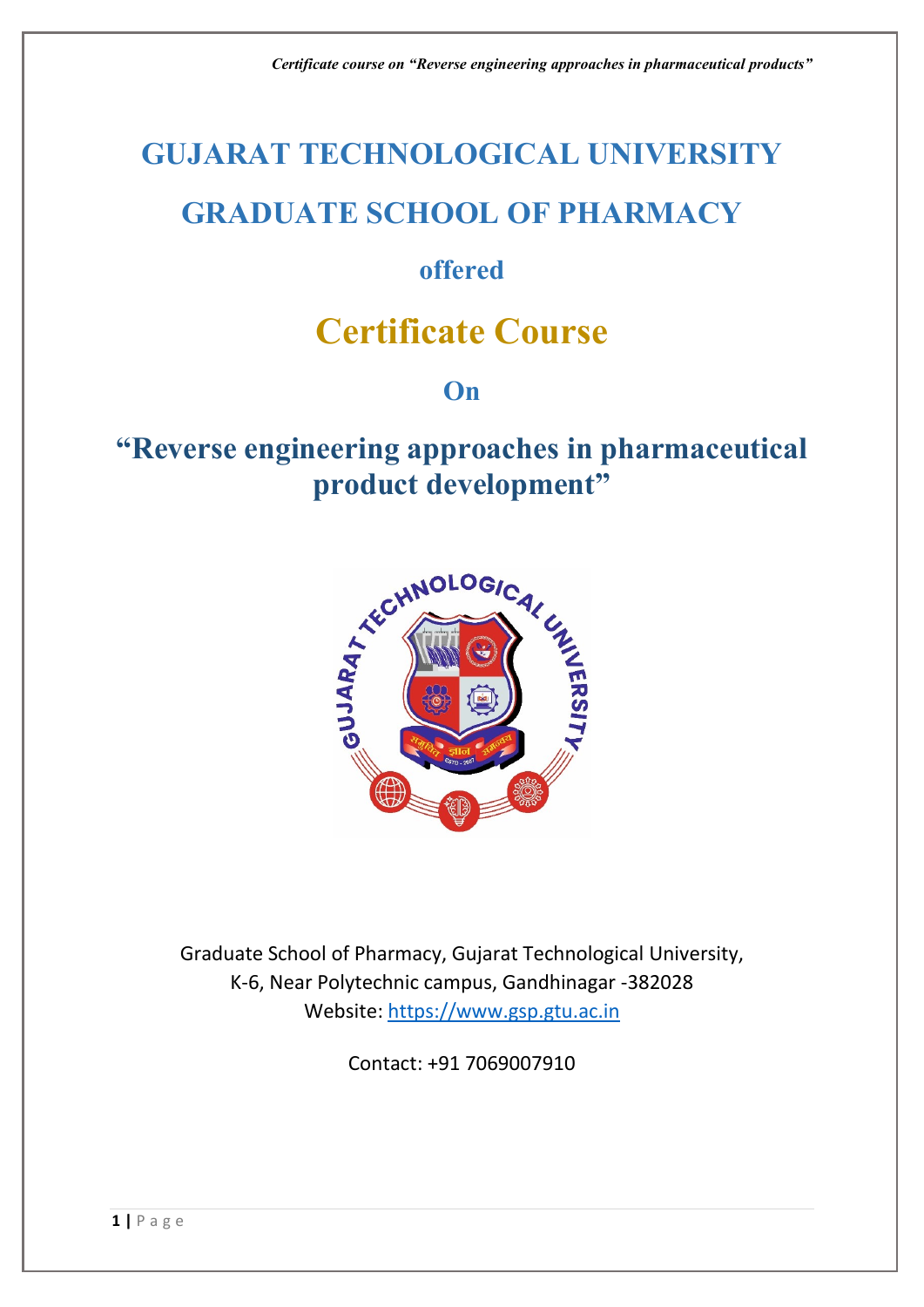# **GUJARAT TECHNOLOGICAL UNIVERSITY**

# **GRADUATE SCHOOL OF PHARMACY**

# **offered**

# **Certificate Course**

## **On**

# **"Reverse engineering approaches in pharmaceutical product development"**



Graduate School of Pharmacy, Gujarat Technological University, K-6, Near Polytechnic campus, Gandhinagar -382028 Website: [https://www.gsp.gtu.ac.in](https://www.gsp.gtu.ac.in/)

Contact: +91 7069007910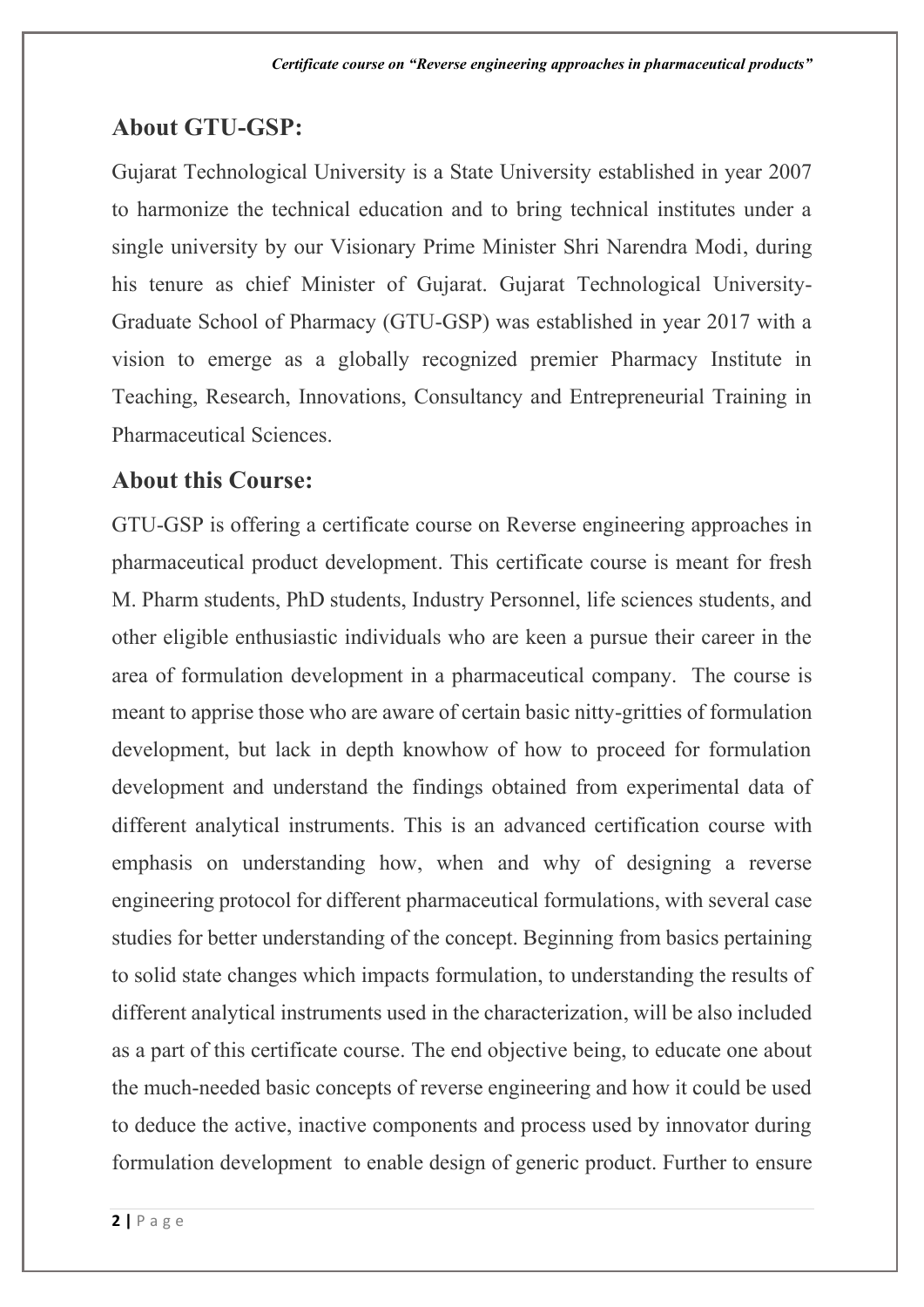#### **About GTU-GSP:**

Gujarat Technological University is a State University established in year 2007 to harmonize the technical education and to bring technical institutes under a single university by our Visionary Prime Minister Shri Narendra Modi, during his tenure as chief Minister of Gujarat. Gujarat Technological University-Graduate School of Pharmacy (GTU-GSP) was established in year 2017 with a vision to emerge as a globally recognized premier Pharmacy Institute in Teaching, Research, Innovations, Consultancy and Entrepreneurial Training in Pharmaceutical Sciences.

#### **About this Course:**

GTU-GSP is offering a certificate course on Reverse engineering approaches in pharmaceutical product development. This certificate course is meant for fresh M. Pharm students, PhD students, Industry Personnel, life sciences students, and other eligible enthusiastic individuals who are keen a pursue their career in the area of formulation development in a pharmaceutical company. The course is meant to apprise those who are aware of certain basic nitty-gritties of formulation development, but lack in depth knowhow of how to proceed for formulation development and understand the findings obtained from experimental data of different analytical instruments. This is an advanced certification course with emphasis on understanding how, when and why of designing a reverse engineering protocol for different pharmaceutical formulations, with several case studies for better understanding of the concept. Beginning from basics pertaining to solid state changes which impacts formulation, to understanding the results of different analytical instruments used in the characterization, will be also included as a part of this certificate course. The end objective being, to educate one about the much-needed basic concepts of reverse engineering and how it could be used to deduce the active, inactive components and process used by innovator during formulation development to enable design of generic product. Further to ensure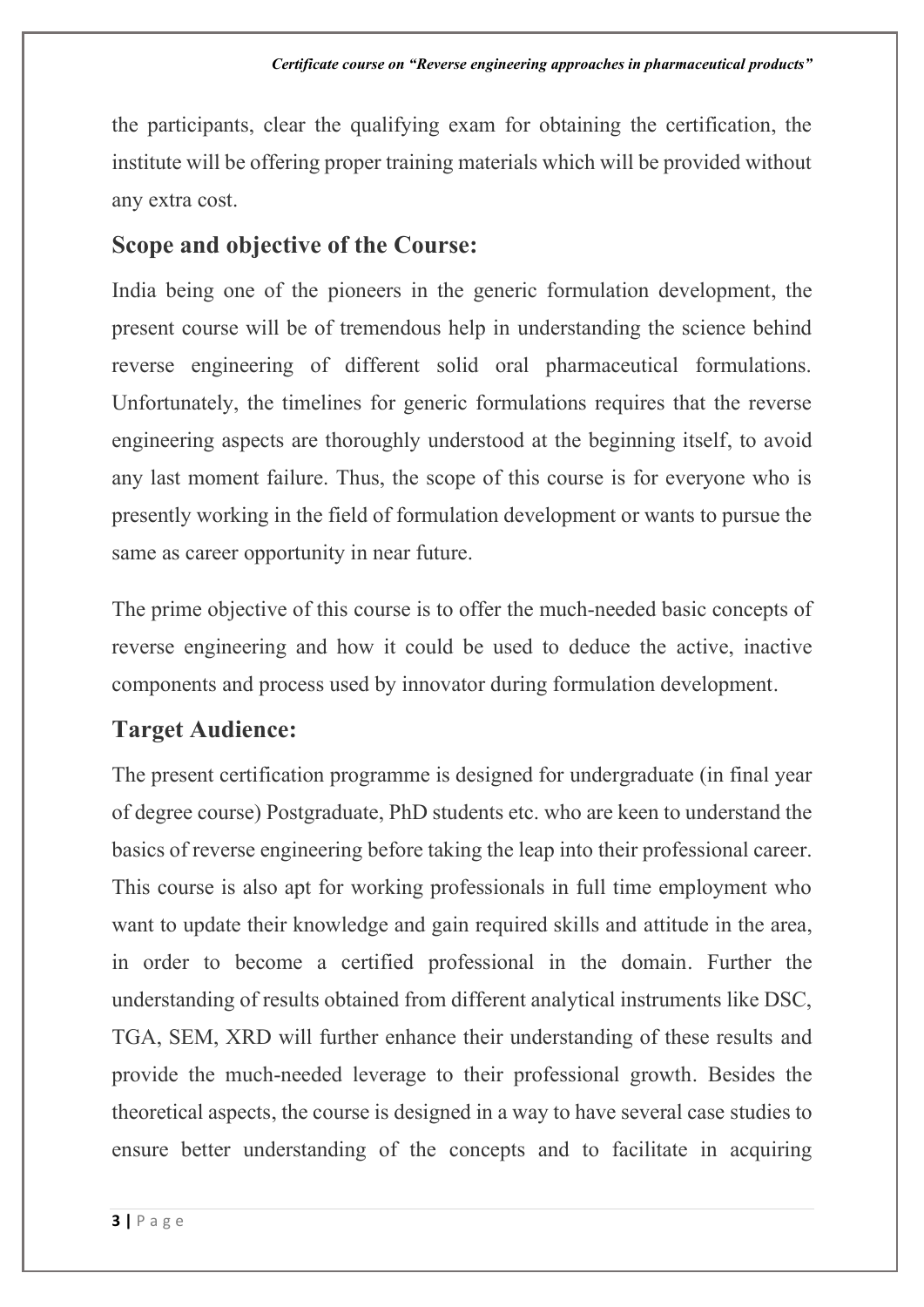the participants, clear the qualifying exam for obtaining the certification, the institute will be offering proper training materials which will be provided without any extra cost.

#### **Scope and objective of the Course:**

India being one of the pioneers in the generic formulation development, the present course will be of tremendous help in understanding the science behind reverse engineering of different solid oral pharmaceutical formulations. Unfortunately, the timelines for generic formulations requires that the reverse engineering aspects are thoroughly understood at the beginning itself, to avoid any last moment failure. Thus, the scope of this course is for everyone who is presently working in the field of formulation development or wants to pursue the same as career opportunity in near future.

The prime objective of this course is to offer the much-needed basic concepts of reverse engineering and how it could be used to deduce the active, inactive components and process used by innovator during formulation development.

## **Target Audience:**

The present certification programme is designed for undergraduate (in final year of degree course) Postgraduate, PhD students etc. who are keen to understand the basics of reverse engineering before taking the leap into their professional career. This course is also apt for working professionals in full time employment who want to update their knowledge and gain required skills and attitude in the area, in order to become a certified professional in the domain. Further the understanding of results obtained from different analytical instruments like DSC, TGA, SEM, XRD will further enhance their understanding of these results and provide the much-needed leverage to their professional growth. Besides the theoretical aspects, the course is designed in a way to have several case studies to ensure better understanding of the concepts and to facilitate in acquiring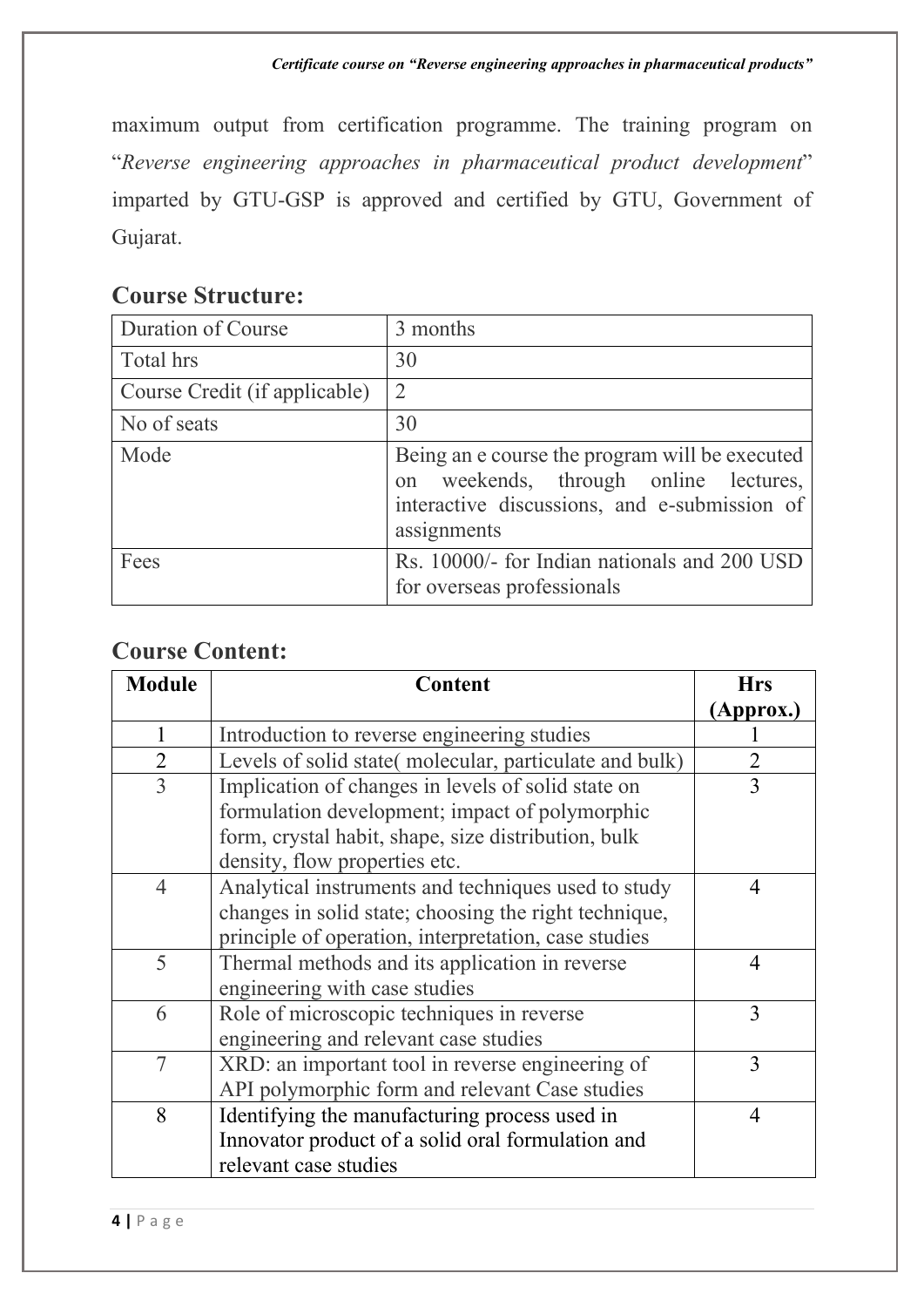maximum output from certification programme. The training program on "*Reverse engineering approaches in pharmaceutical product development*" imparted by GTU-GSP is approved and certified by GTU, Government of Gujarat.

#### **Course Structure:**

| Duration of Course            | 3 months                                                                                                                                               |
|-------------------------------|--------------------------------------------------------------------------------------------------------------------------------------------------------|
| Total hrs                     | 30                                                                                                                                                     |
| Course Credit (if applicable) | $\overline{2}$                                                                                                                                         |
| No of seats                   | 30                                                                                                                                                     |
| Mode                          | Being an e course the program will be executed<br>on weekends, through online lectures,<br>interactive discussions, and e-submission of<br>assignments |
| Fees                          | Rs. 10000/- for Indian nationals and 200 USD<br>for overseas professionals                                                                             |

#### **Course Content:**

| <b>Module</b>  | Content                                                | <b>Hrs</b>     |
|----------------|--------------------------------------------------------|----------------|
|                |                                                        | (Approx.)      |
|                | Introduction to reverse engineering studies            |                |
| $\overline{2}$ | Levels of solid state(molecular, particulate and bulk) |                |
| $\overline{3}$ | Implication of changes in levels of solid state on     | $\overline{3}$ |
|                | formulation development; impact of polymorphic         |                |
|                | form, crystal habit, shape, size distribution, bulk    |                |
|                | density, flow properties etc.                          |                |
| $\overline{4}$ | Analytical instruments and techniques used to study    | $\overline{4}$ |
|                | changes in solid state; choosing the right technique,  |                |
|                | principle of operation, interpretation, case studies   |                |
| 5              | Thermal methods and its application in reverse         | 4              |
|                | engineering with case studies                          |                |
| 6              | Role of microscopic techniques in reverse              | 3              |
|                | engineering and relevant case studies                  |                |
| 7              | XRD: an important tool in reverse engineering of       | 3              |
|                | API polymorphic form and relevant Case studies         |                |
| 8              | Identifying the manufacturing process used in          | $\overline{4}$ |
|                | Innovator product of a solid oral formulation and      |                |
|                | relevant case studies                                  |                |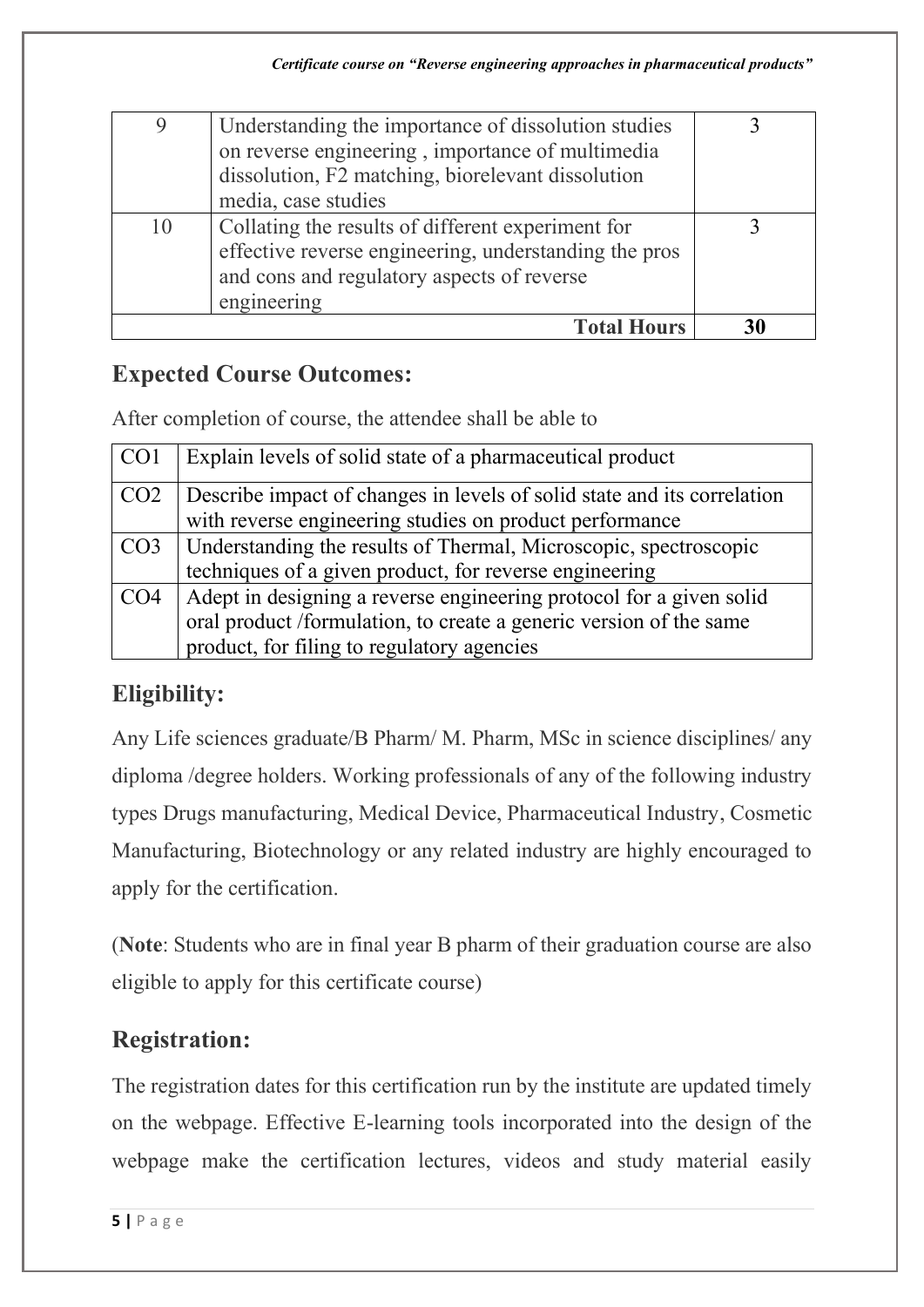|    | <b>Total Hours</b>                                    | 30 |
|----|-------------------------------------------------------|----|
|    | engineering                                           |    |
|    | and cons and regulatory aspects of reverse            |    |
|    | effective reverse engineering, understanding the pros |    |
| 10 | Collating the results of different experiment for     |    |
|    | media, case studies                                   |    |
|    | dissolution, F2 matching, biorelevant dissolution     |    |
|    | on reverse engineering, importance of multimedia      |    |
| 9  | Understanding the importance of dissolution studies   |    |
|    |                                                       |    |

#### **Expected Course Outcomes:**

After completion of course, the attendee shall be able to

| CO <sub>1</sub> | Explain levels of solid state of a pharmaceutical product                                                                                                                               |
|-----------------|-----------------------------------------------------------------------------------------------------------------------------------------------------------------------------------------|
| CO <sub>2</sub> | Describe impact of changes in levels of solid state and its correlation<br>with reverse engineering studies on product performance                                                      |
| CO <sub>3</sub> | Understanding the results of Thermal, Microscopic, spectroscopic<br>techniques of a given product, for reverse engineering                                                              |
| CO <sub>4</sub> | Adept in designing a reverse engineering protocol for a given solid<br>oral product /formulation, to create a generic version of the same<br>product, for filing to regulatory agencies |

## **Eligibility:**

Any Life sciences graduate/B Pharm/ M. Pharm, MSc in science disciplines/ any diploma /degree holders. Working professionals of any of the following industry types Drugs manufacturing, Medical Device, Pharmaceutical Industry, Cosmetic Manufacturing, Biotechnology or any related industry are highly encouraged to apply for the certification.

(**Note**: Students who are in final year B pharm of their graduation course are also eligible to apply for this certificate course)

## **Registration:**

The registration dates for this certification run by the institute are updated timely on the webpage. Effective E-learning tools incorporated into the design of the webpage make the certification lectures, videos and study material easily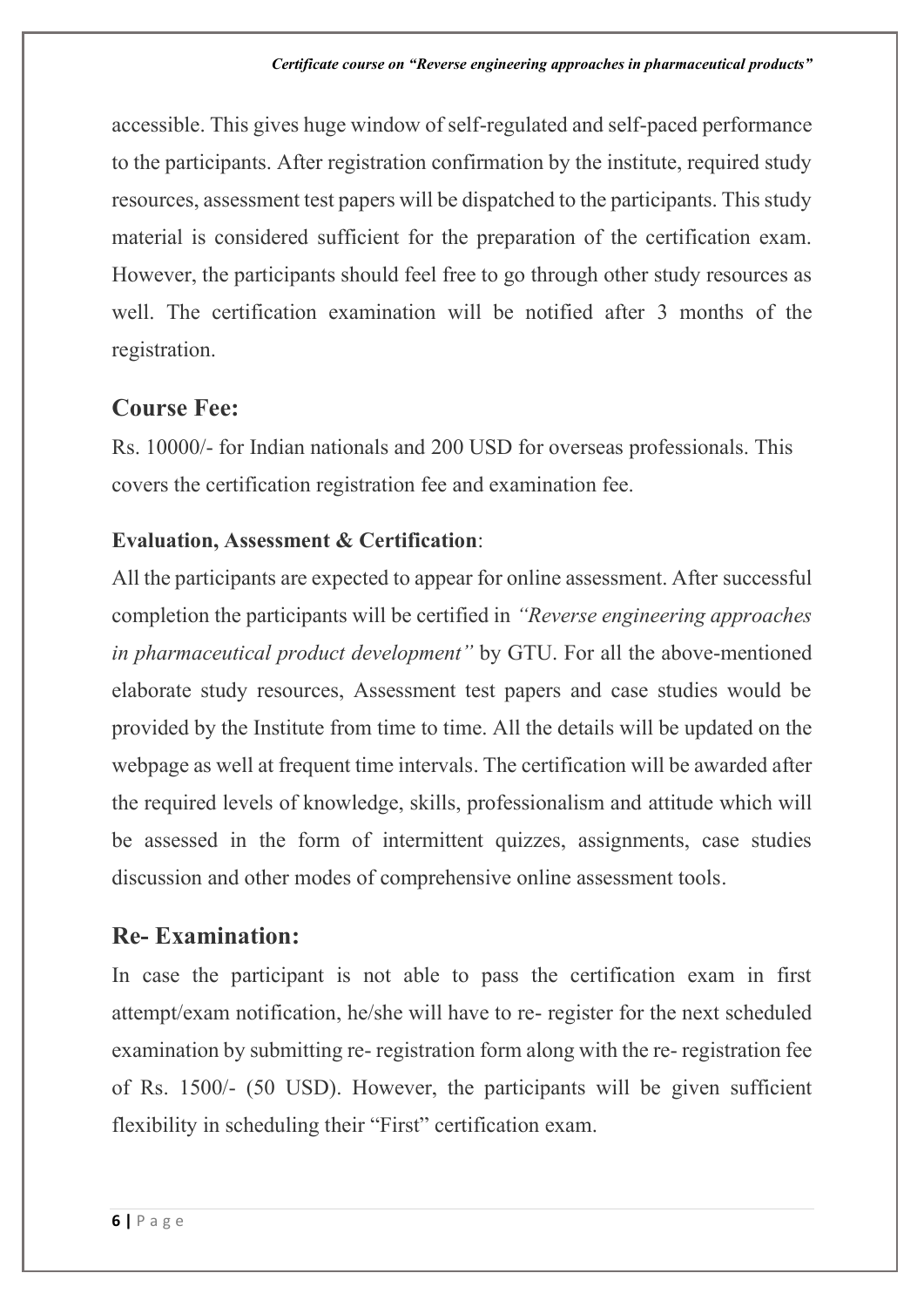accessible. This gives huge window of self-regulated and self-paced performance to the participants. After registration confirmation by the institute, required study resources, assessment test papers will be dispatched to the participants. This study material is considered sufficient for the preparation of the certification exam. However, the participants should feel free to go through other study resources as well. The certification examination will be notified after 3 months of the registration.

#### **Course Fee:**

Rs. 10000/- for Indian nationals and 200 USD for overseas professionals. This covers the certification registration fee and examination fee.

#### **Evaluation, Assessment & Certification**:

All the participants are expected to appear for online assessment. After successful completion the participants will be certified in *"Reverse engineering approaches in pharmaceutical product development"* by GTU. For all the above-mentioned elaborate study resources, Assessment test papers and case studies would be provided by the Institute from time to time. All the details will be updated on the webpage as well at frequent time intervals. The certification will be awarded after the required levels of knowledge, skills, professionalism and attitude which will be assessed in the form of intermittent quizzes, assignments, case studies discussion and other modes of comprehensive online assessment tools.

#### **Re- Examination:**

In case the participant is not able to pass the certification exam in first attempt/exam notification, he/she will have to re- register for the next scheduled examination by submitting re- registration form along with the re- registration fee of Rs. 1500/- (50 USD). However, the participants will be given sufficient flexibility in scheduling their "First" certification exam.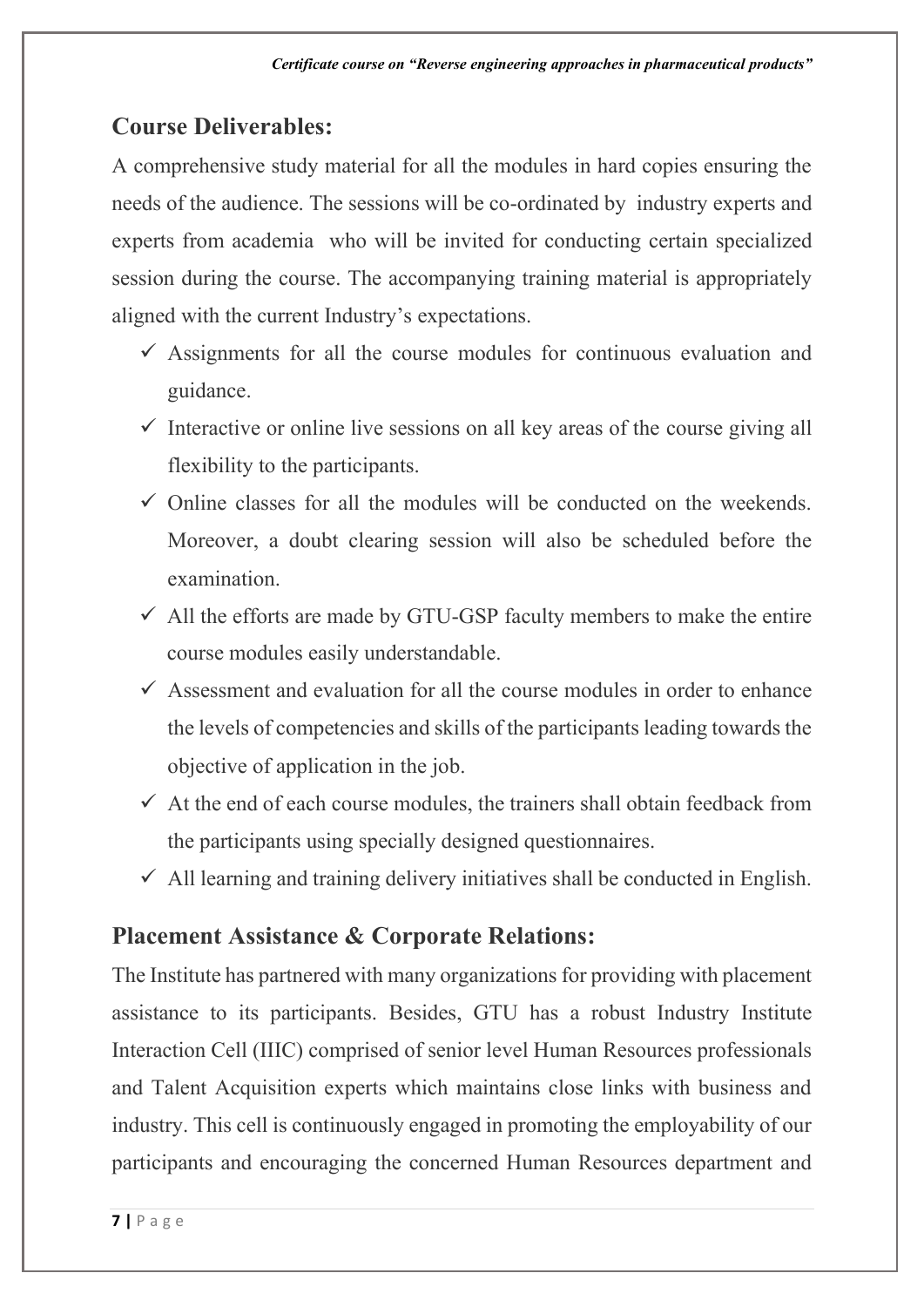#### **Course Deliverables:**

A comprehensive study material for all the modules in hard copies ensuring the needs of the audience. The sessions will be co-ordinated by industry experts and experts from academia who will be invited for conducting certain specialized session during the course. The accompanying training material is appropriately aligned with the current Industry's expectations.

- $\checkmark$  Assignments for all the course modules for continuous evaluation and guidance.
- $\checkmark$  Interactive or online live sessions on all key areas of the course giving all flexibility to the participants.
- $\checkmark$  Online classes for all the modules will be conducted on the weekends. Moreover, a doubt clearing session will also be scheduled before the examination.
- $\checkmark$  All the efforts are made by GTU-GSP faculty members to make the entire course modules easily understandable.
- $\checkmark$  Assessment and evaluation for all the course modules in order to enhance the levels of competencies and skills of the participants leading towards the objective of application in the job.
- $\checkmark$  At the end of each course modules, the trainers shall obtain feedback from the participants using specially designed questionnaires.
- $\checkmark$  All learning and training delivery initiatives shall be conducted in English.

## **Placement Assistance & Corporate Relations:**

The Institute has partnered with many organizations for providing with placement assistance to its participants. Besides, GTU has a robust Industry Institute Interaction Cell (IIIC) comprised of senior level Human Resources professionals and Talent Acquisition experts which maintains close links with business and industry. This cell is continuously engaged in promoting the employability of our participants and encouraging the concerned Human Resources department and